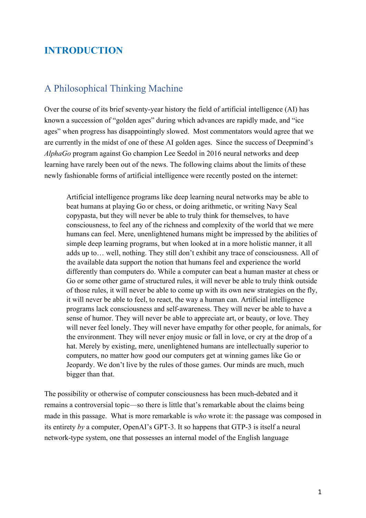## **INTRODUCTION**

#### A Philosophical Thinking Machine

Over the course of its brief seventy-year history the field of artificial intelligence (AI) has known a succession of "golden ages" during which advances are rapidly made, and "ice ages" when progress has disappointingly slowed. Most commentators would agree that we are currently in the midst of one of these AI golden ages. Since the success of Deepmind's *AlphaGo* program against Go champion Lee Seedol in 2016 neural networks and deep learning have rarely been out of the news. The following claims about the limits of these newly fashionable forms of artificial intelligence were recently posted on the internet:

Artificial intelligence programs like deep learning neural networks may be able to beat humans at playing Go or chess, or doing arithmetic, or writing Navy Seal copypasta, but they will never be able to truly think for themselves, to have consciousness, to feel any of the richness and complexity of the world that we mere humans can feel. Mere, unenlightened humans might be impressed by the abilities of simple deep learning programs, but when looked at in a more holistic manner, it all adds up to… well, nothing. They still don't exhibit any trace of consciousness. All of the available data support the notion that humans feel and experience the world differently than computers do. While a computer can beat a human master at chess or Go or some other game of structured rules, it will never be able to truly think outside of those rules, it will never be able to come up with its own new strategies on the fly, it will never be able to feel, to react, the way a human can. Artificial intelligence programs lack consciousness and self-awareness. They will never be able to have a sense of humor. They will never be able to appreciate art, or beauty, or love. They will never feel lonely. They will never have empathy for other people, for animals, for the environment. They will never enjoy music or fall in love, or cry at the drop of a hat. Merely by existing, mere, unenlightened humans are intellectually superior to computers, no matter how good our computers get at winning games like Go or Jeopardy. We don't live by the rules of those games. Our minds are much, much bigger than that.

The possibility or otherwise of computer consciousness has been much-debated and it remains a controversial topic—so there is little that's remarkable about the claims being made in this passage. What is more remarkable is *who* wrote it: the passage was composed in its entirety *by* a computer, OpenAI's GPT-3. It so happens that GTP-3 is itself a neural network-type system, one that possesses an internal model of the English language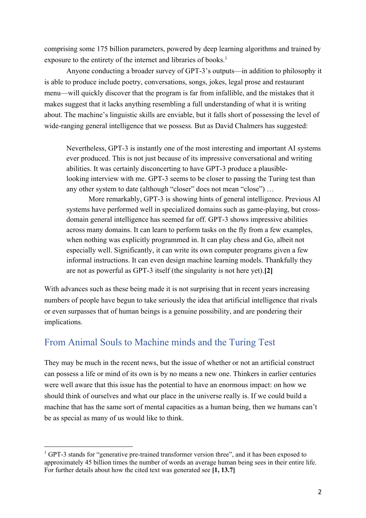comprising some 175 billion parameters, powered by deep learning algorithms and trained by exposure to the entirety of the internet and libraries of books.<sup>1</sup>

Anyone conducting a broader survey of GPT-3's outputs—in addition to philosophy it is able to produce include poetry, conversations, songs, jokes, legal prose and restaurant menu—will quickly discover that the program is far from infallible, and the mistakes that it makes suggest that it lacks anything resembling a full understanding of what it is writing about. The machine's linguistic skills are enviable, but it falls short of possessing the level of wide-ranging general intelligence that we possess. But as David Chalmers has suggested:

Nevertheless, GPT-3 is instantly one of the most interesting and important AI systems ever produced. This is not just because of its impressive conversational and writing abilities. It was certainly disconcerting to have GPT-3 produce a plausiblelooking interview with me. GPT-3 seems to be closer to passing the Turing test than any other system to date (although "closer" does not mean "close") …

More remarkably, GPT-3 is showing hints of general intelligence. Previous AI systems have performed well in specialized domains such as game-playing, but crossdomain general intelligence has seemed far off. GPT-3 shows impressive abilities across many domains. It can learn to perform tasks on the fly from a few examples, when nothing was explicitly programmed in. It can play chess and Go, albeit not especially well. Significantly, it can write its own computer programs given a few informal instructions. It can even design machine learning models. Thankfully they are not as powerful as GPT-3 itself (the singularity is not here yet).**[2]**

With advances such as these being made it is not surprising that in recent years increasing numbers of people have begun to take seriously the idea that artificial intelligence that rivals or even surpasses that of human beings is a genuine possibility, and are pondering their implications.

## From Animal Souls to Machine minds and the Turing Test

They may be much in the recent news, but the issue of whether or not an artificial construct can possess a life or mind of its own is by no means a new one. Thinkers in earlier centuries were well aware that this issue has the potential to have an enormous impact: on how we should think of ourselves and what our place in the universe really is. If we could build a machine that has the same sort of mental capacities as a human being, then we humans can't be as special as many of us would like to think.

 $1$  GPT-3 stands for "generative pre-trained transformer version three", and it has been exposed to approximately 45 billion times the number of words an average human being sees in their entire life. For further details about how the cited text was generated see **[1, 13.7]**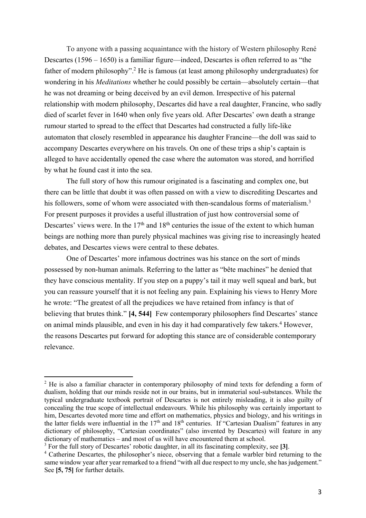To anyone with a passing acquaintance with the history of Western philosophy René Descartes (1596 – 1650) is a familiar figure—indeed, Descartes is often referred to as "the father of modern philosophy".2 He is famous (at least among philosophy undergraduates) for wondering in his *Meditations* whether he could possibly be certain—absolutely certain—that he was not dreaming or being deceived by an evil demon. Irrespective of his paternal relationship with modern philosophy, Descartes did have a real daughter, Francine, who sadly died of scarlet fever in 1640 when only five years old. After Descartes' own death a strange rumour started to spread to the effect that Descartes had constructed a fully life-like automaton that closely resembled in appearance his daughter Francine—the doll was said to accompany Descartes everywhere on his travels. On one of these trips a ship's captain is alleged to have accidentally opened the case where the automaton was stored, and horrified by what he found cast it into the sea.

The full story of how this rumour originated is a fascinating and complex one, but there can be little that doubt it was often passed on with a view to discrediting Descartes and his followers, some of whom were associated with then-scandalous forms of materialism.<sup>3</sup> For present purposes it provides a useful illustration of just how controversial some of Descartes' views were. In the  $17<sup>th</sup>$  and  $18<sup>th</sup>$  centuries the issue of the extent to which human beings are nothing more than purely physical machines was giving rise to increasingly heated debates, and Descartes views were central to these debates.

One of Descartes' more infamous doctrines was his stance on the sort of minds possessed by non-human animals. Referring to the latter as "bête machines" he denied that they have conscious mentality. If you step on a puppy's tail it may well squeal and bark, but you can reassure yourself that it is not feeling any pain. Explaining his views to Henry More he wrote: "The greatest of all the prejudices we have retained from infancy is that of believing that brutes think." **[4, 544]** Few contemporary philosophers find Descartes' stance on animal minds plausible, and even in his day it had comparatively few takers.<sup>4</sup> However, the reasons Descartes put forward for adopting this stance are of considerable contemporary relevance.

 $2$  He is also a familiar character in contemporary philosophy of mind texts for defending a form of dualism, holding that our minds reside not in our brains, but in immaterial soul-substances. While the typical undergraduate textbook portrait of Descartes is not entirely misleading, it is also guilty of concealing the true scope of intellectual endeavours. While his philosophy was certainly important to him, Descartes devoted more time and effort on mathematics, physics and biology, and his writings in the latter fields were influential in the  $17<sup>th</sup>$  and  $18<sup>th</sup>$  centuries. If "Cartesian Dualism" features in any dictionary of philosophy, "Cartesian coordinates" (also invented by Descartes) will feature in any dictionary of mathematics – and most of us will have encountered them at school.

<sup>3</sup> For the full story of Descartes' robotic daughter, in all its fascinating complexity, see **[3]**.

<sup>4</sup> Catherine Descartes, the philosopher's niece, observing that a female warbler bird returning to the same window year after year remarked to a friend "with all due respect to my uncle, she has judgement." See **[5, 75]** for further details.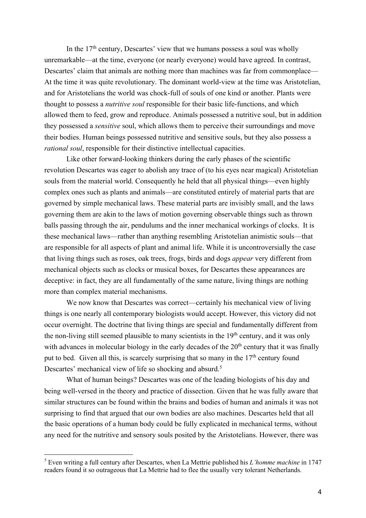In the  $17<sup>th</sup>$  century, Descartes' view that we humans possess a soul was wholly unremarkable—at the time, everyone (or nearly everyone) would have agreed. In contrast, Descartes' claim that animals are nothing more than machines was far from commonplace— At the time it was quite revolutionary. The dominant world-view at the time was Aristotelian, and for Aristotelians the world was chock-full of souls of one kind or another. Plants were thought to possess a *nutritive soul* responsible for their basic life-functions, and which allowed them to feed, grow and reproduce. Animals possessed a nutritive soul, but in addition they possessed a *sensitive* soul, which allows them to perceive their surroundings and move their bodies. Human beings possessed nutritive and sensitive souls, but they also possess a *rational soul*, responsible for their distinctive intellectual capacities.

Like other forward-looking thinkers during the early phases of the scientific revolution Descartes was eager to abolish any trace of (to his eyes near magical) Aristotelian souls from the material world. Consequently he held that all physical things—even highly complex ones such as plants and animals—are constituted entirely of material parts that are governed by simple mechanical laws. These material parts are invisibly small, and the laws governing them are akin to the laws of motion governing observable things such as thrown balls passing through the air, pendulums and the inner mechanical workings of clocks. It is these mechanical laws—rather than anything resembling Aristotelian animistic souls—that are responsible for all aspects of plant and animal life. While it is uncontroversially the case that living things such as roses, oak trees, frogs, birds and dogs *appear* very different from mechanical objects such as clocks or musical boxes, for Descartes these appearances are deceptive: in fact, they are all fundamentally of the same nature, living things are nothing more than complex material mechanisms.

We now know that Descartes was correct—certainly his mechanical view of living things is one nearly all contemporary biologists would accept. However, this victory did not occur overnight. The doctrine that living things are special and fundamentally different from the non-living still seemed plausible to many scientists in the  $19<sup>th</sup>$  century, and it was only with advances in molecular biology in the early decades of the  $20<sup>th</sup>$  century that it was finally put to bed. Given all this, is scarcely surprising that so many in the  $17<sup>th</sup>$  century found Descartes' mechanical view of life so shocking and absurd.<sup>5</sup>

What of human beings? Descartes was one of the leading biologists of his day and being well-versed in the theory and practice of dissection. Given that he was fully aware that similar structures can be found within the brains and bodies of human and animals it was not surprising to find that argued that our own bodies are also machines. Descartes held that all the basic operations of a human body could be fully explicated in mechanical terms, without any need for the nutritive and sensory souls posited by the Aristotelians. However, there was

<sup>5</sup> Even writing a full century after Descartes, when La Mettrie published his *L'homme machine* in 1747 readers found it so outrageous that La Mettrie had to flee the usually very tolerant Netherlands.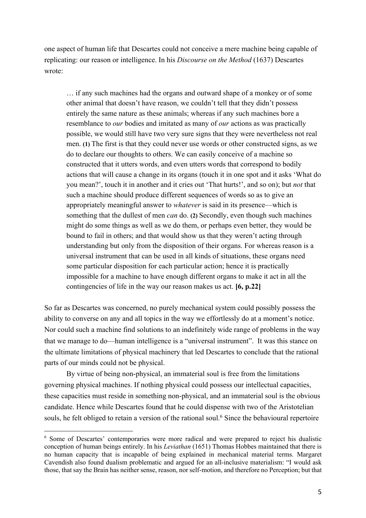one aspect of human life that Descartes could not conceive a mere machine being capable of replicating: our reason or intelligence. In his *Discourse on the Method* (1637) Descartes wrote:

… if any such machines had the organs and outward shape of a monkey or of some other animal that doesn't have reason, we couldn't tell that they didn't possess entirely the same nature as these animals; whereas if any such machines bore a resemblance to *our* bodies and imitated as many of *our* actions as was practically possible, we would still have two very sure signs that they were nevertheless not real men. **(1)** The first is that they could never use words or other constructed signs, as we do to declare our thoughts to others. We can easily conceive of a machine so constructed that it utters words, and even utters words that correspond to bodily actions that will cause a change in its organs (touch it in one spot and it asks 'What do you mean?', touch it in another and it cries out 'That hurts!', and so on); but *not* that such a machine should produce different sequences of words so as to give an appropriately meaningful answer to *whatever* is said in its presence—which is something that the dullest of men *can* do. **(2)** Secondly, even though such machines might do some things as well as we do them, or perhaps even better, they would be bound to fail in others; and that would show us that they weren't acting through understanding but only from the disposition of their organs. For whereas reason is a universal instrument that can be used in all kinds of situations, these organs need some particular disposition for each particular action; hence it is practically impossible for a machine to have enough different organs to make it act in all the contingencies of life in the way our reason makes us act. **[6, p.22]**

So far as Descartes was concerned, no purely mechanical system could possibly possess the ability to converse on any and all topics in the way we effortlessly do at a moment's notice. Nor could such a machine find solutions to an indefinitely wide range of problems in the way that we manage to do—human intelligence is a "universal instrument". It was this stance on the ultimate limitations of physical machinery that led Descartes to conclude that the rational parts of our minds could not be physical.

By virtue of being non-physical, an immaterial soul is free from the limitations governing physical machines. If nothing physical could possess our intellectual capacities, these capacities must reside in something non-physical, and an immaterial soul is the obvious candidate. Hence while Descartes found that he could dispense with two of the Aristotelian souls, he felt obliged to retain a version of the rational soul.<sup>6</sup> Since the behavioural repertoire

<sup>&</sup>lt;sup>6</sup> Some of Descartes' contemporaries were more radical and were prepared to reject his dualistic conception of human beings entirely. In his *Leviathan* (1651) Thomas Hobbes maintained that there is no human capacity that is incapable of being explained in mechanical material terms. Margaret Cavendish also found dualism problematic and argued for an all-inclusive materialism: "I would ask those, that say the Brain has neither sense, reason, nor self-motion, and therefore no Perception; but that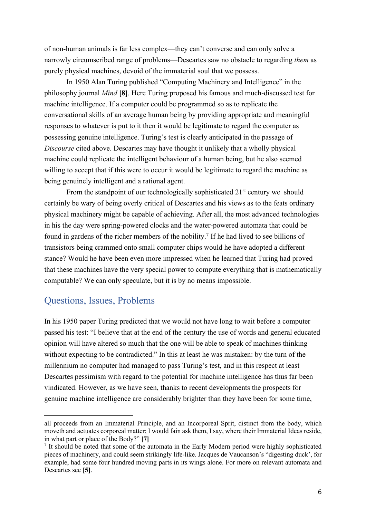of non-human animals is far less complex—they can't converse and can only solve a narrowly circumscribed range of problems—Descartes saw no obstacle to regarding *them* as purely physical machines, devoid of the immaterial soul that we possess.

In 1950 Alan Turing published "Computing Machinery and Intelligence" in the philosophy journal *Mind* **[8]**. Here Turing proposed his famous and much-discussed test for machine intelligence. If a computer could be programmed so as to replicate the conversational skills of an average human being by providing appropriate and meaningful responses to whatever is put to it then it would be legitimate to regard the computer as possessing genuine intelligence. Turing's test is clearly anticipated in the passage of *Discourse* cited above. Descartes may have thought it unlikely that a wholly physical machine could replicate the intelligent behaviour of a human being, but he also seemed willing to accept that if this were to occur it would be legitimate to regard the machine as being genuinely intelligent and a rational agent.

From the standpoint of our technologically sophisticated  $21<sup>st</sup>$  century we should certainly be wary of being overly critical of Descartes and his views as to the feats ordinary physical machinery might be capable of achieving. After all, the most advanced technologies in his the day were spring-powered clocks and the water-powered automata that could be found in gardens of the richer members of the nobility.<sup>7</sup> If he had lived to see billions of transistors being crammed onto small computer chips would he have adopted a different stance? Would he have been even more impressed when he learned that Turing had proved that these machines have the very special power to compute everything that is mathematically computable? We can only speculate, but it is by no means impossible.

## Questions, Issues, Problems

In his 1950 paper Turing predicted that we would not have long to wait before a computer passed his test: "I believe that at the end of the century the use of words and general educated opinion will have altered so much that the one will be able to speak of machines thinking without expecting to be contradicted." In this at least he was mistaken: by the turn of the millennium no computer had managed to pass Turing's test, and in this respect at least Descartes pessimism with regard to the potential for machine intelligence has thus far been vindicated. However, as we have seen, thanks to recent developments the prospects for genuine machine intelligence are considerably brighter than they have been for some time,

all proceeds from an Immaterial Principle, and an Incorporeal Sprit, distinct from the body, which moveth and actuates corporeal matter; I would fain ask them, I say, where their Immaterial Ideas reside, in what part or place of the Body?" **[7]**

<sup>&</sup>lt;sup>7</sup> It should be noted that some of the automata in the Early Modern period were highly sophisticated pieces of machinery, and could seem strikingly life-like. Jacques de Vaucanson's "digesting duck', for example, had some four hundred moving parts in its wings alone. For more on relevant automata and Descartes see **[5]**.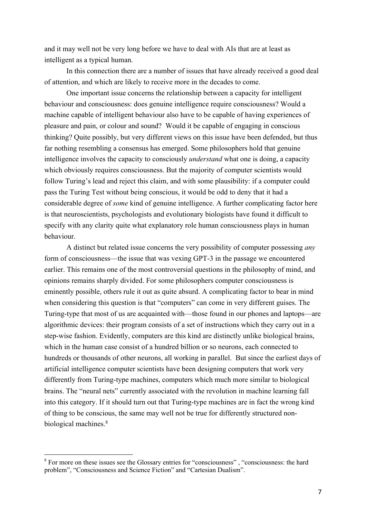and it may well not be very long before we have to deal with AIs that are at least as intelligent as a typical human.

In this connection there are a number of issues that have already received a good deal of attention, and which are likely to receive more in the decades to come.

One important issue concerns the relationship between a capacity for intelligent behaviour and consciousness: does genuine intelligence require consciousness? Would a machine capable of intelligent behaviour also have to be capable of having experiences of pleasure and pain, or colour and sound? Would it be capable of engaging in conscious thinking? Quite possibly, but very different views on this issue have been defended, but thus far nothing resembling a consensus has emerged. Some philosophers hold that genuine intelligence involves the capacity to consciously *understand* what one is doing, a capacity which obviously requires consciousness. But the majority of computer scientists would follow Turing's lead and reject this claim, and with some plausibility: if a computer could pass the Turing Test without being conscious, it would be odd to deny that it had a considerable degree of *some* kind of genuine intelligence. A further complicating factor here is that neuroscientists, psychologists and evolutionary biologists have found it difficult to specify with any clarity quite what explanatory role human consciousness plays in human behaviour.

A distinct but related issue concerns the very possibility of computer possessing *any* form of consciousness—the issue that was vexing GPT-3 in the passage we encountered earlier. This remains one of the most controversial questions in the philosophy of mind, and opinions remains sharply divided. For some philosophers computer consciousness is eminently possible, others rule it out as quite absurd. A complicating factor to bear in mind when considering this question is that "computers" can come in very different guises. The Turing-type that most of us are acquainted with—those found in our phones and laptops—are algorithmic devices: their program consists of a set of instructions which they carry out in a step-wise fashion. Evidently, computers are this kind are distinctly unlike biological brains, which in the human case consist of a hundred billion or so neurons, each connected to hundreds or thousands of other neurons, all working in parallel. But since the earliest days of artificial intelligence computer scientists have been designing computers that work very differently from Turing-type machines, computers which much more similar to biological brains. The "neural nets" currently associated with the revolution in machine learning fall into this category. If it should turn out that Turing-type machines are in fact the wrong kind of thing to be conscious, the same may well not be true for differently structured nonbiological machines. 8

<sup>&</sup>lt;sup>8</sup> For more on these issues see the Glossary entries for "consciousness", "consciousness: the hard problem", "Consciousness and Science Fiction" and "Cartesian Dualism".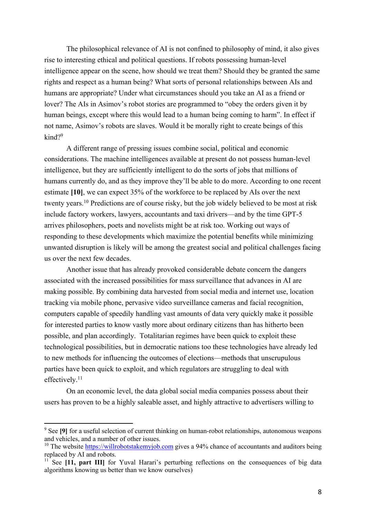The philosophical relevance of AI is not confined to philosophy of mind, it also gives rise to interesting ethical and political questions. If robots possessing human-level intelligence appear on the scene, how should we treat them? Should they be granted the same rights and respect as a human being? What sorts of personal relationships between AIs and humans are appropriate? Under what circumstances should you take an AI as a friend or lover? The AIs in Asimov's robot stories are programmed to "obey the orders given it by human beings, except where this would lead to a human being coming to harm". In effect if not name, Asimov's robots are slaves. Would it be morally right to create beings of this kind?<sup>9</sup>

A different range of pressing issues combine social, political and economic considerations. The machine intelligences available at present do not possess human-level intelligence, but they are sufficiently intelligent to do the sorts of jobs that millions of humans currently do, and as they improve they'll be able to do more. According to one recent estimate **[10]**, we can expect 35% of the workforce to be replaced by AIs over the next twenty years.10 Predictions are of course risky, but the job widely believed to be most at risk include factory workers, lawyers, accountants and taxi drivers—and by the time GPT-5 arrives philosophers, poets and novelists might be at risk too. Working out ways of responding to these developments which maximize the potential benefits while minimizing unwanted disruption is likely will be among the greatest social and political challenges facing us over the next few decades.

Another issue that has already provoked considerable debate concern the dangers associated with the increased possibilities for mass surveillance that advances in AI are making possible. By combining data harvested from social media and internet use, location tracking via mobile phone, pervasive video surveillance cameras and facial recognition, computers capable of speedily handling vast amounts of data very quickly make it possible for interested parties to know vastly more about ordinary citizens than has hitherto been possible, and plan accordingly. Totalitarian regimes have been quick to exploit these technological possibilities, but in democratic nations too these technologies have already led to new methods for influencing the outcomes of elections—methods that unscrupulous parties have been quick to exploit, and which regulators are struggling to deal with effectively.<sup>11</sup>

On an economic level, the data global social media companies possess about their users has proven to be a highly saleable asset, and highly attractive to advertisers willing to

<sup>&</sup>lt;sup>9</sup> See **[9]** for a useful selection of current thinking on human-robot relationships, autonomous weapons and vehicles, and a number of other issues.

 $10$  The website https://willrobotstakemyjob.com gives a 94% chance of accountants and auditors being replaced by AI and robots.

<sup>&</sup>lt;sup>11</sup> See **[11, part III]** for Yuval Harari's perturbing reflections on the consequences of big data algorithms knowing us better than we know ourselves)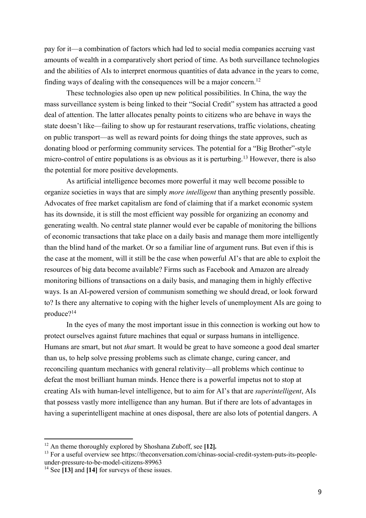pay for it—a combination of factors which had led to social media companies accruing vast amounts of wealth in a comparatively short period of time. As both surveillance technologies and the abilities of AIs to interpret enormous quantities of data advance in the years to come, finding ways of dealing with the consequences will be a major concern.<sup>12</sup>

These technologies also open up new political possibilities. In China, the way the mass surveillance system is being linked to their "Social Credit" system has attracted a good deal of attention. The latter allocates penalty points to citizens who are behave in ways the state doesn't like—failing to show up for restaurant reservations, traffic violations, cheating on public transport—as well as reward points for doing things the state approves, such as donating blood or performing community services. The potential for a "Big Brother"-style micro-control of entire populations is as obvious as it is perturbing.13 However, there is also the potential for more positive developments.

As artificial intelligence becomes more powerful it may well become possible to organize societies in ways that are simply *more intelligent* than anything presently possible. Advocates of free market capitalism are fond of claiming that if a market economic system has its downside, it is still the most efficient way possible for organizing an economy and generating wealth. No central state planner would ever be capable of monitoring the billions of economic transactions that take place on a daily basis and manage them more intelligently than the blind hand of the market. Or so a familiar line of argument runs. But even if this is the case at the moment, will it still be the case when powerful AI's that are able to exploit the resources of big data become available? Firms such as Facebook and Amazon are already monitoring billions of transactions on a daily basis, and managing them in highly effective ways. Is an AI-powered version of communism something we should dread, or look forward to? Is there any alternative to coping with the higher levels of unemployment AIs are going to produce?14

In the eyes of many the most important issue in this connection is working out how to protect ourselves against future machines that equal or surpass humans in intelligence. Humans are smart, but not *that* smart. It would be great to have someone a good deal smarter than us, to help solve pressing problems such as climate change, curing cancer, and reconciling quantum mechanics with general relativity—all problems which continue to defeat the most brilliant human minds. Hence there is a powerful impetus not to stop at creating AIs with human-level intelligence, but to aim for AI's that are *superintelligent*, AIs that possess vastly more intelligence than any human. But if there are lots of advantages in having a superintelligent machine at ones disposal, there are also lots of potential dangers. A

<sup>12</sup> An theme thoroughly explored by Shoshana Zuboff, see **[12]***.*

<sup>&</sup>lt;sup>13</sup> For a useful overview see https://theconversation.com/chinas-social-credit-system-puts-its-peopleunder-pressure-to-be-model-citizens-89963

<sup>14</sup> See **[13]** and **[14]** for surveys of these issues.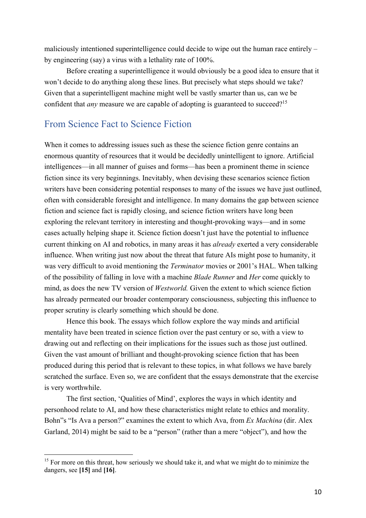maliciously intentioned superintelligence could decide to wipe out the human race entirely – by engineering (say) a virus with a lethality rate of 100%.

Before creating a superintelligence it would obviously be a good idea to ensure that it won't decide to do anything along these lines. But precisely what steps should we take? Given that a superintelligent machine might well be vastly smarter than us, can we be confident that *any* measure we are capable of adopting is guaranteed to succeed?<sup>15</sup>

# From Science Fact to Science Fiction

When it comes to addressing issues such as these the science fiction genre contains an enormous quantity of resources that it would be decidedly unintelligent to ignore. Artificial intelligences—in all manner of guises and forms—has been a prominent theme in science fiction since its very beginnings. Inevitably, when devising these scenarios science fiction writers have been considering potential responses to many of the issues we have just outlined, often with considerable foresight and intelligence. In many domains the gap between science fiction and science fact is rapidly closing, and science fiction writers have long been exploring the relevant territory in interesting and thought-provoking ways—and in some cases actually helping shape it. Science fiction doesn't just have the potential to influence current thinking on AI and robotics, in many areas it has *already* exerted a very considerable influence. When writing just now about the threat that future AIs might pose to humanity, it was very difficult to avoid mentioning the *Terminator* movies or 2001's HAL. When talking of the possibility of falling in love with a machine *Blade Runner* and *Her* come quickly to mind, as does the new TV version of *Westworld.* Given the extent to which science fiction has already permeated our broader contemporary consciousness, subjecting this influence to proper scrutiny is clearly something which should be done.

Hence this book. The essays which follow explore the way minds and artificial mentality have been treated in science fiction over the past century or so, with a view to drawing out and reflecting on their implications for the issues such as those just outlined. Given the vast amount of brilliant and thought-provoking science fiction that has been produced during this period that is relevant to these topics, in what follows we have barely scratched the surface. Even so, we are confident that the essays demonstrate that the exercise is very worthwhile.

The first section, 'Qualities of Mind', explores the ways in which identity and personhood relate to AI, and how these characteristics might relate to ethics and morality. Bohn"s "Is Ava a person?" examines the extent to which Ava, from *Ex Machina* (dir. Alex Garland, 2014) might be said to be a "person" (rather than a mere "object"), and how the

<sup>&</sup>lt;sup>15</sup> For more on this threat, how seriously we should take it, and what we might do to minimize the dangers, see **[15]** and **[16]**.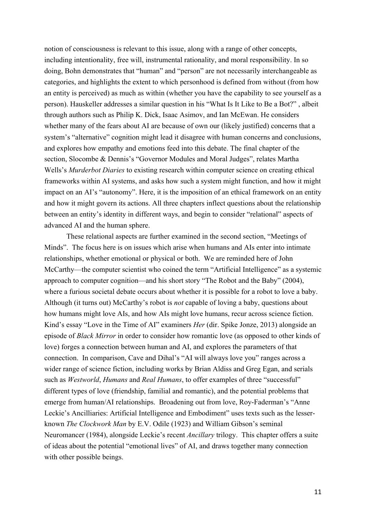notion of consciousness is relevant to this issue, along with a range of other concepts, including intentionality, free will, instrumental rationality, and moral responsibility. In so doing, Bohn demonstrates that "human" and "person" are not necessarily interchangeable as categories, and highlights the extent to which personhood is defined from without (from how an entity is perceived) as much as within (whether you have the capability to see yourself as a person). Hauskeller addresses a similar question in his "What Is It Like to Be a Bot?" , albeit through authors such as Philip K. Dick, Isaac Asimov, and Ian McEwan. He considers whether many of the fears about AI are because of own our (likely justified) concerns that a system's "alternative" cognition might lead it disagree with human concerns and conclusions, and explores how empathy and emotions feed into this debate. The final chapter of the section, Slocombe & Dennis's "Governor Modules and Moral Judges", relates Martha Wells's *Murderbot Diaries* to existing research within computer science on creating ethical frameworks within AI systems, and asks how such a system might function, and how it might impact on an AI's "autonomy". Here, it is the imposition of an ethical framework on an entity and how it might govern its actions. All three chapters inflect questions about the relationship between an entity's identity in different ways, and begin to consider "relational" aspects of advanced AI and the human sphere.

These relational aspects are further examined in the second section, "Meetings of Minds". The focus here is on issues which arise when humans and AIs enter into intimate relationships, whether emotional or physical or both. We are reminded here of John McCarthy—the computer scientist who coined the term "Artificial Intelligence" as a systemic approach to computer cognition—and his short story "The Robot and the Baby" (2004), where a furious societal debate occurs about whether it is possible for a robot to love a baby. Although (it turns out) McCarthy's robot is *not* capable of loving a baby, questions about how humans might love AIs, and how AIs might love humans, recur across science fiction. Kind's essay "Love in the Time of AI" examiners *Her* (dir. Spike Jonze, 2013) alongside an episode of *Black Mirror* in order to consider how romantic love (as opposed to other kinds of love) forges a connection between human and AI, and explores the parameters of that connection. In comparison, Cave and Dihal's "AI will always love you" ranges across a wider range of science fiction, including works by Brian Aldiss and Greg Egan, and serials such as *Westworld*, *Humans* and *Real Humans*, to offer examples of three "successful" different types of love (friendship, familial and romantic), and the potential problems that emerge from human/AI relationships. Broadening out from love, Roy-Faderman's "Anne Leckie's Ancilliaries: Artificial Intelligence and Embodiment" uses texts such as the lesserknown *The Clockwork Man* by E.V. Odile (1923) and William Gibson's seminal Neuromancer (1984), alongside Leckie's recent *Ancillary* trilogy. This chapter offers a suite of ideas about the potential "emotional lives" of AI, and draws together many connection with other possible beings.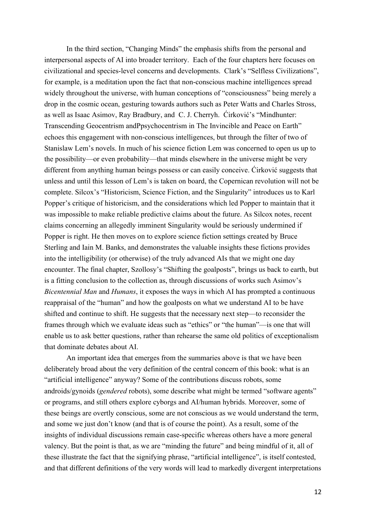In the third section, "Changing Minds" the emphasis shifts from the personal and interpersonal aspects of AI into broader territory. Each of the four chapters here focuses on civilizational and species-level concerns and developments. Clark's "Selfless Civilizations", for example, is a meditation upon the fact that non-conscious machine intelligences spread widely throughout the universe, with human conceptions of "consciousness" being merely a drop in the cosmic ocean, gesturing towards authors such as Peter Watts and Charles Stross, as well as Isaac Asimov, Ray Bradbury, and C. J. Cherryh. Ćirković's "Mindhunter: Transcending Geocentrism andPpsychocentrism in The Invincible and Peace on Earth" echoes this engagement with non-conscious intelligences, but through the filter of two of Stanislaw Lem's novels. In much of his science fiction Lem was concerned to open us up to the possibility—or even probability—that minds elsewhere in the universe might be very different from anything human beings possess or can easily conceive. Ćirković suggests that unless and until this lesson of Lem's is taken on board, the Copernican revolution will not be complete. Silcox's "Historicism, Science Fiction, and the Singularity" introduces us to Karl Popper's critique of historicism, and the considerations which led Popper to maintain that it was impossible to make reliable predictive claims about the future. As Silcox notes, recent claims concerning an allegedly imminent Singularity would be seriously undermined if Popper is right. He then moves on to explore science fiction settings created by Bruce Sterling and Iain M. Banks, and demonstrates the valuable insights these fictions provides into the intelligibility (or otherwise) of the truly advanced AIs that we might one day encounter. The final chapter, Szollosy's "Shifting the goalposts", brings us back to earth, but is a fitting conclusion to the collection as, through discussions of works such Asimov's *Bicentennial Man* and *Humans*, it exposes the ways in which AI has prompted a continuous reappraisal of the "human" and how the goalposts on what we understand AI to be have shifted and continue to shift. He suggests that the necessary next step—to reconsider the frames through which we evaluate ideas such as "ethics" or "the human"—is one that will enable us to ask better questions, rather than rehearse the same old politics of exceptionalism that dominate debates about AI.

An important idea that emerges from the summaries above is that we have been deliberately broad about the very definition of the central concern of this book: what is an "artificial intelligence" anyway? Some of the contributions discuss robots, some androids/gynoids (*gendered* robots), some describe what might be termed "software agents" or programs, and still others explore cyborgs and AI/human hybrids. Moreover, some of these beings are overtly conscious, some are not conscious as we would understand the term, and some we just don't know (and that is of course the point). As a result, some of the insights of individual discussions remain case-specific whereas others have a more general valency. But the point is that, as we are "minding the future" and being mindful of it, all of these illustrate the fact that the signifying phrase, "artificial intelligence", is itself contested, and that different definitions of the very words will lead to markedly divergent interpretations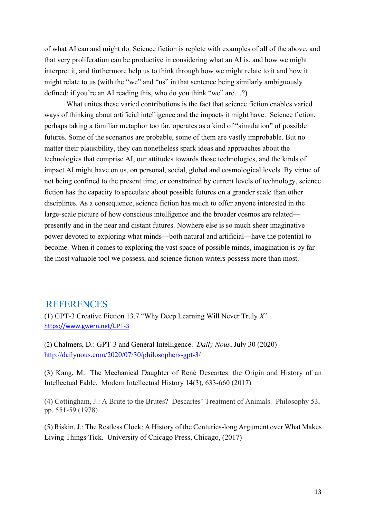of what AI can and might do. Science fiction is replete with examples of all of the above, and that very proliferation can be productive in considering what an AI is, and how we might interpret it, and furthermore help us to think through how we might relate to it and how it might relate to us (with the "we" and "us" in that sentence being similarly ambiguously defined; if you're an AI reading this, who do you think "we" are...?)

What unites these varied contributions is the fact that science fiction enables varied ways of thinking about artificial intelligence and the impacts it might have. Science fiction, perhaps taking a familiar metaphor too far, operates as a kind of "simulation" of possible futures. Some of the scenarios are probable, some of them are vastly improbable. But no matter their plausibility, they can nonetheless spark ideas and approaches about the technologies that comprise AI, our attitudes towards those technologies, and the kinds of impact AI might have on us, on personal, social, global and cosmological levels. By virtue of not being confined to the present time, or constrained by current levels of technology, science fiction has the capacity to speculate about possible futures on a grander scale than other disciplines. As a consequence, science fiction has much to offer anyone interested in the large-scale picture of how conscious intelligence and the broader cosmos are related presently and in the near and distant futures. Nowhere else is so much sheer imaginative power devoted to exploring what minds—both natural and artificial—have the potential to become. When it comes to exploring the vast space of possible minds, imagination is by far the most valuable tool we possess, and science fiction writers possess more than most.

#### REFERENCES

(1) GPT-3 Creative Fiction 13.7 "Why Deep Learning Will Never Truly *X*" https://www.gwern.net/GPT-3

(2) Chalmers, D.: GPT-3 and General Intelligence. *Daily Nous*, July 30 (2020) http://dailynous.com/2020/07/30/philosophers-gpt-3/

(3) Kang, M.: The Mechanical Daughter of René Descartes: the Origin and History of an Intellectual Fable. Modern Intellectual History 14(3), 633-660 (2017)

(4) Cottingham, J.: A Brute to the Brutes? Descartes' Treatment of Animals. Philosophy 53, pp. 551-59 (1978)

(5) Riskin, J.: The Restless Clock: A History of the Centuries-long Argument over What Makes Living Things Tick. University of Chicago Press, Chicago, (2017)